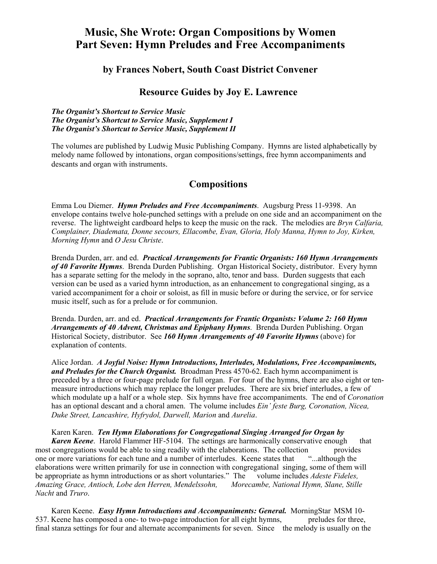## **Music, She Wrote: Organ Compositions by Women Part Seven: Hymn Preludes and Free Accompaniments**

## **by Frances Nobert, South Coast District Convener**

## **Resource Guides by Joy E. Lawrence**

*The Organist's Shortcut to Service Music The Organist's Shortcut to Service Music, Supplement I The Organist's Shortcut to Service Music, Supplement II*

The volumes are published by Ludwig Music Publishing Company. Hymns are listed alphabetically by melody name followed by intonations, organ compositions/settings, free hymn accompaniments and descants and organ with instruments.

## **Compositions**

Emma Lou Diemer. *Hymn Preludes and Free Accompaniments*. Augsburg Press 11-9398. An envelope contains twelve hole-punched settings with a prelude on one side and an accompaniment on the reverse. The lightweight cardboard helps to keep the music on the rack. The melodies are *Bryn Calfaria, Complainer, Diademata, Donne secours, Ellacombe, Evan, Gloria, Holy Manna, Hymn to Joy, Kirken, Morning Hymn* and *O Jesu Christe*.

Brenda Durden, arr. and ed. *Practical Arrangements for Frantic Organists: 160 Hymn Arrangements of 40 Favorite Hymns*. Brenda Durden Publishing. Organ Historical Society, distributor. Every hymn has a separate setting for the melody in the soprano, alto, tenor and bass. Durden suggests that each version can be used as a varied hymn introduction, as an enhancement to congregational singing, as a varied accompaniment for a choir or soloist, as fill in music before or during the service, or for service music itself, such as for a prelude or for communion.

Brenda. Durden, arr. and ed. *Practical Arrangements for Frantic Organists: Volume 2: 160 Hymn Arrangements of 40 Advent, Christmas and Epiphany Hymns*. Brenda Durden Publishing. Organ Historical Society, distributor. See *160 Hymn Arrangements of 40 Favorite Hymns* (above) for explanation of contents.

Alice Jordan. *A Joyful Noise: Hymn Introductions, Interludes, Modulations, Free Accompaniments, and Preludes for the Church Organist.* Broadman Press 4570-62. Each hymn accompaniment is preceded by a three or four-page prelude for full organ. For four of the hymns, there are also eight or tenmeasure introductions which may replace the longer preludes. There are six brief interludes, a few of which modulate up a half or a whole step. Six hymns have free accompaniments. The end of *Coronation* has an optional descant and a choral amen. The volume includes *Ein' feste Burg, Coronation, Nicea, Duke Street, Lancashire, Hyfrydol, Darwell, Marion* and *Aurelia*.

 Karen Karen. *Ten Hymn Elaborations for Congregational Singing Arranged for Organ by Karen Keene.* Harold Flammer HF-5104. The settings are harmonically conservative enough that most congregations would be able to sing readily with the elaborations. The collection provides one or more variations for each tune and a number of interludes. Keene states that "...although the one or more variations for each tune and a number of interludes. Keene states that elaborations were written primarily for use in connection with congregational singing, some of them will be appropriate as hymn introductions or as short voluntaries." The volume includes *Adeste Fideles, Amazing Grace, Antioch, Lobe den Herren, Mendelssohn, Morecambe, National Hymn, Slane, Stille Nacht* and *Truro*.

 Karen Keene. *Easy Hymn Introductions and Accompaniments: General.* MorningStar MSM 10- 537. Keene has composed a one- to two-page introduction for all eight hymns, preludes for three, final stanza settings for four and alternate accompaniments for seven. Since the melody is usually on the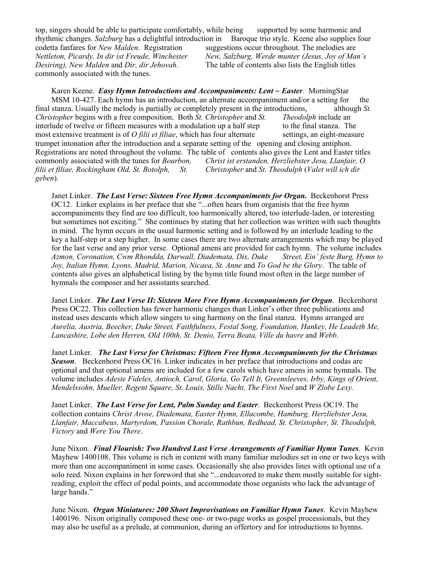top, singers should be able to participate comfortably, while being supported by some harmonic and rhythmic changes. *Salzburg* has a delightful introduction in Baroque trio style. Keene also supplies four codetta fanfares for *New Malden*. Registration suggestions occur throughout. The melodies are *Nettleton, Picardy, In dir ist Freude, Winchester New, Salzburg, Werde munter (Jesus, Joy of Man's Desiring), New Malden* and *Dir, dir Jehovah*. The table of contents also lists the English titles commonly associated with the tunes.

 Karen Keene. *Easy Hymn Introductions and Accompaniments: Lent ~ Easter*. MorningStar MSM 10-427. Each hymn has an introduction, an alternate accompaniment and/or a setting for the final stanza. Usually the melody is partially or completely present in the introductions, although *St. Christopher* begins with a free composition. Both *St. Christopher* and *St. Theodolph* include an interlude of twelve or fifteen measures with a modulation up a half step to the final stanza. The most extensive treatment is of *O filii et filiae*, which has four alternate settings, an eight-measure trumpet intonation after the introduction and a separate setting of the opening and closing antiphon. Registrations are noted throughout the volume. The table of contents also gives the Lent and Easter titles commonly associated with the tunes for *Bourbon, Christ ist erstanden, Herzliebster Jesu, Llanfair, O filii et filiae, Rockingham Old, St. Botolph, St. Christopher* and *St. Theodulph* (*Valet will ich dir geben*).

Janet Linker. *The Last Verse: Sixteen Free Hymn Accompaniments for Organ*. Beckenhorst Press OC12. Linker explains in her preface that she "...often hears from organists that the free hymn accompaniments they find are too difficult, too harmonically altered, too interlude-laden, or interesting but sometimes not exciting." She continues by stating that her collection was written with such thoughts in mind. The hymn occurs in the usual harmonic setting and is followed by an interlude leading to the key a half-step or a step higher. In some cases there are two alternate arrangements which may be played for the last verse and any prior verse. Optional amens are provided for each hymn. The volume includes *Azmon, Coronation, Cwm Rhondda, Darwall, Diademata, Dix, Duke Street, Ein' feste Burg, Hymn to Joy, Italian Hymn, Lyons, Madrid, Marion, Nicaea, St. Anne* and *To God be the Glory*. The table of contents also gives an alphabetical listing by the hymn title found most often in the large number of hymnals the composer and her assistants searched.

Janet Linker. *The Last Verse II: Sixteen More Free Hymn Accompaniments for Organ*. Beckenhorst Press OC22. This collection has fewer harmonic changes than Linker's other three publications and instead uses descants which allow singers to sing harmony on the final stanza. Hymns arranged are *Aurelia, Austria, Beecher, Duke Street, Faithfulness, Festal Song, Foundation, Hankey, He Leadeth Me, Lancashire, Lobe den Herren, Old 100th, St. Denio, Terra Beata, Ville du havre* and *Webb*.

Janet Linker. *The Last Verse for Christmas: Fifteen Free Hymn Accompaniments for the Christmas Season*. Beckenhorst Press OC16. Linker indicates in her preface that introductions and codas are optional and that optional amens are included for a few carols which have amens in some hymnals. The volume includes *Adeste Fideles, Antioch, Carol, Gloria, Go Tell It, Greensleeves, Irby, Kings of Orient, Mendelssohn, Mueller, Regent Square, St. Louis, Stille Nacht, The First Noel* and *W Zlobe Lexy.* 

Janet Linker. *The Last Verse for Lent, Palm Sunday and Easter*. Beckenhorst Press OC19. The collection contains *Christ Arose, Diademata, Easter Hymn, Ellacombe, Hamburg, Herzliebster Jesu, Llanfair, Maccabeus, Martyrdom, Passion Chorale, Rathbun, Redhead, St. Christopher, St. Theodulph, Victory* and *Were You There*.

June Nixon. *Final Flourish: Two Hundred Last Verse Arrangements of Familiar Hymn Tunes*. Kevin Mayhew 1400108. This volume is rich in content with many familiar melodies set in one or two keys with more than one accompaniment in some cases. Occasionally she also provides lines with optional use of a solo reed. Nixon explains in her foreword that she "...endeavored to make them mostly suitable for sightreading, exploit the effect of pedal points, and accommodate those organists who lack the advantage of large hands."

June Nixon. *Organ Miniatures: 200 Short Improvisations on Familiar Hymn Tunes*. Kevin Mayhew 1400196. Nixon originally composed these one- or two-page works as gospel processionals, but they may also be useful as a prelude, at communion, during an offertory and for introductions to hymns.